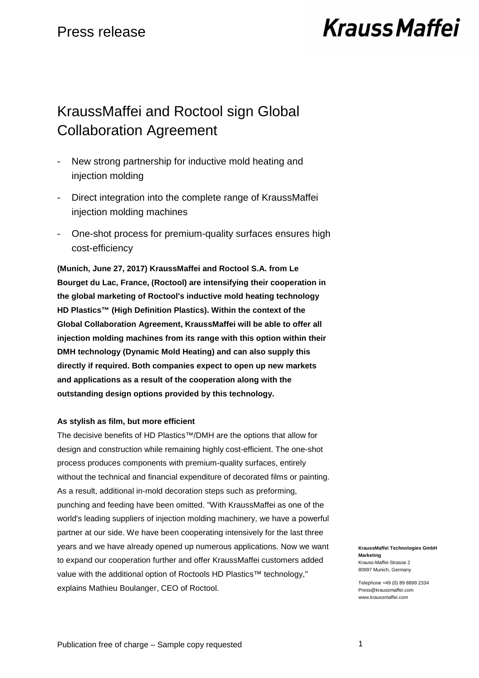# **Krauss Maffei**

## KraussMaffei and Roctool sign Global Collaboration Agreement

- New strong partnership for inductive mold heating and injection molding
- Direct integration into the complete range of KraussMaffei injection molding machines
- One-shot process for premium-quality surfaces ensures high cost-efficiency

**(Munich, June 27, 2017) KraussMaffei and Roctool S.A. from Le Bourget du Lac, France, (Roctool) are intensifying their cooperation in the global marketing of Roctool's inductive mold heating technology HD Plastics™ (High Definition Plastics). Within the context of the Global Collaboration Agreement, KraussMaffei will be able to offer all injection molding machines from its range with this option within their DMH technology (Dynamic Mold Heating) and can also supply this directly if required. Both companies expect to open up new markets and applications as a result of the cooperation along with the outstanding design options provided by this technology.** 

### **As stylish as film, but more efficient**

The decisive benefits of HD Plastics™/DMH are the options that allow for design and construction while remaining highly cost-efficient. The one-shot process produces components with premium-quality surfaces, entirely without the technical and financial expenditure of decorated films or painting. As a result, additional in-mold decoration steps such as preforming, punching and feeding have been omitted. "With KraussMaffei as one of the world's leading suppliers of injection molding machinery, we have a powerful partner at our side. We have been cooperating intensively for the last three years and we have already opened up numerous applications. Now we want to expand our cooperation further and offer KraussMaffei customers added value with the additional option of Roctools HD Plastics™ technology," explains Mathieu Boulanger, CEO of Roctool.

**KraussMaffei Technologies GmbH Marketing**  Krauss-Maffei-Strasse 2 80997 Munich, Germany

Telephone +49 (0) 89 8899 2334 Press@kraussmaffei.com www.kraussmaffei.com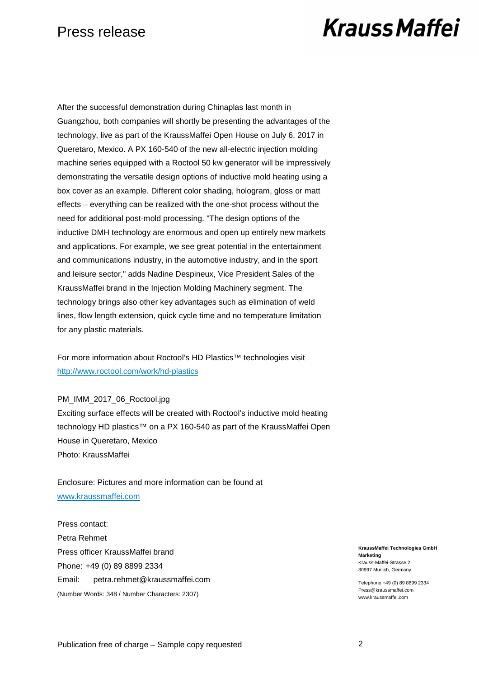## Press release

## **Krauss Maffei**

After the successful demonstration during Chinaplas last month in Guangzhou, both companies will shortly be presenting the advantages of the technology, live as part of the KraussMaffei Open House on July 6, 2017 in Queretaro, Mexico. A PX 160-540 of the new all-electric injection molding machine series equipped with a Roctool 50 kw generator will be impressively demonstrating the versatile design options of inductive mold heating using a box cover as an example. Different color shading, hologram, gloss or matt effects – everything can be realized with the one-shot process without the need for additional post-mold processing. "The design options of the inductive DMH technology are enormous and open up entirely new markets and applications. For example, we see great potential in the entertainment and communications industry, in the automotive industry, and in the sport and leisure sector," adds Nadine Despineux, Vice President Sales of the KraussMaffei brand in the Injection Molding Machinery segment. The technology brings also other key advantages such as elimination of weld lines, flow length extension, quick cycle time and no temperature limitation for any plastic materials.

For more information about Roctool's HD Plastics™ technologies visit http://www.roctool.com/work/hd-plastics

### PM\_IMM\_2017\_06\_Roctool.jpg

Exciting surface effects will be created with Roctool's inductive mold heating technology HD plastics™ on a PX 160-540 as part of the KraussMaffei Open House in Queretaro, Mexico Photo: KraussMaffei

Enclosure: Pictures and more information can be found at www.kraussmaffei.com

Press contact: Petra Rehmet Press officer KraussMaffei brand Phone: +49 (0) 89 8899 2334 Email: petra.rehmet@kraussmaffei.com (Number Words: 348 / Number Characters: 2307)

**KraussMaffei Technologies GmbH Marketing**  Krauss-Maffei-Strasse 2 80997 Munich, Germany

Telephone +49 (0) 89 8899 2334 Press@kraussmaffei.com www.kraussmaffei.com